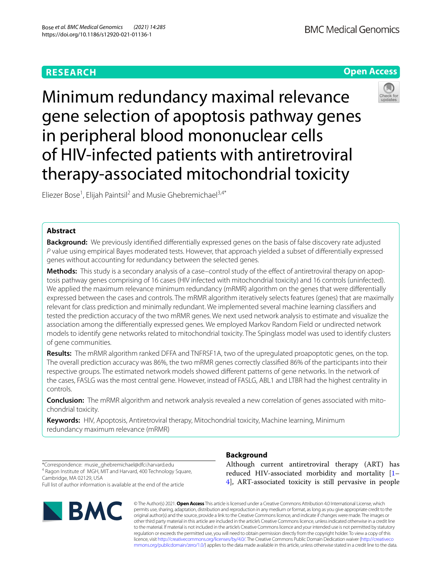# **Open Access**



Minimum redundancy maximal relevance gene selection of apoptosis pathway genes in peripheral blood mononuclear cells of HIV-infected patients with antiretroviral therapy-associated mitochondrial toxicity

Eliezer Bose<sup>1</sup>, Elijah Paintsil<sup>2</sup> and Musie Ghebremichael<sup>3,4\*</sup>

# **Abstract**

**Background:** We previously identifed diferentially expressed genes on the basis of false discovery rate adjusted *P* value using empirical Bayes moderated tests. However, that approach yielded a subset of diferentially expressed genes without accounting for redundancy between the selected genes.

Methods: This study is a secondary analysis of a case-control study of the effect of antiretroviral therapy on apoptosis pathway genes comprising of 16 cases (HIV infected with mitochondrial toxicity) and 16 controls (uninfected). We applied the maximum relevance minimum redundancy (mRMR) algorithm on the genes that were differentially expressed between the cases and controls. The mRMR algorithm iteratively selects features (genes) that are maximally relevant for class prediction and minimally redundant. We implemented several machine learning classifers and tested the prediction accuracy of the two mRMR genes. We next used network analysis to estimate and visualize the association among the diferentially expressed genes. We employed Markov Random Field or undirected network models to identify gene networks related to mitochondrial toxicity. The Spinglass model was used to identify clusters of gene communities.

**Results:** The mRMR algorithm ranked DFFA and TNFRSF1A, two of the upregulated proapoptotic genes, on the top. The overall prediction accuracy was 86%, the two mRMR genes correctly classifed 86% of the participants into their respective groups. The estimated network models showed diferent patterns of gene networks. In the network of the cases, FASLG was the most central gene. However, instead of FASLG, ABL1 and LTBR had the highest centrality in controls.

**Conclusion:** The mRMR algorithm and network analysis revealed a new correlation of genes associated with mitochondrial toxicity.

**Keywords:** HIV, Apoptosis, Antiretroviral therapy, Mitochondrial toxicity, Machine learning, Minimum redundancy maximum relevance (mRMR)

\*Correspondence: musie\_ghebremichael@dfci.harvard.edu <sup>4</sup> Ragon Institute of MGH, MIT and Harvard, 400 Technology Square, Cambridge, MA 02129, USA Full list of author information is available at the end of the article



# **Background**

Although current antiretroviral therapy (ART) has reduced HIV-associated morbidity and mortality [[1–](#page-8-0) [4\]](#page-8-1), ART-associated toxicity is still pervasive in people

© The Author(s) 2021. **Open Access** This article is licensed under a Creative Commons Attribution 4.0 International License, which permits use, sharing, adaptation, distribution and reproduction in any medium or format, as long as you give appropriate credit to the original author(s) and the source, provide a link to the Creative Commons licence, and indicate if changes were made. The images or other third party material in this article are included in the article's Creative Commons licence, unless indicated otherwise in a credit line to the material. If material is not included in the article's Creative Commons licence and your intended use is not permitted by statutory regulation or exceeds the permitted use, you will need to obtain permission directly from the copyright holder. To view a copy of this licence, visit [http://creativecommons.org/licenses/by/4.0/.](http://creativecommons.org/licenses/by/4.0/) The Creative Commons Public Domain Dedication waiver ([http://creativeco](http://creativecommons.org/publicdomain/zero/1.0/) [mmons.org/publicdomain/zero/1.0/](http://creativecommons.org/publicdomain/zero/1.0/)) applies to the data made available in this article, unless otherwise stated in a credit line to the data.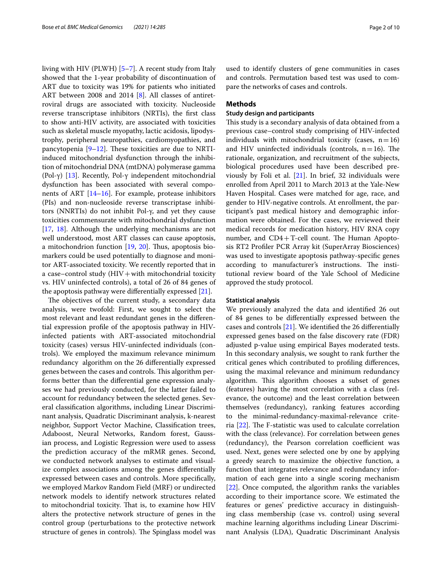living with HIV (PLWH) [\[5](#page-8-2)[–7](#page-8-3)]. A recent study from Italy showed that the 1-year probability of discontinuation of ART due to toxicity was 19% for patients who initiated ART between 2008 and 2014 [\[8\]](#page-8-4). All classes of antiretroviral drugs are associated with toxicity. Nucleoside reverse transcriptase inhibitors (NRTIs), the frst class to show anti-HIV activity, are associated with toxicities such as skeletal muscle myopathy, lactic acidosis, lipodystrophy, peripheral neuropathies, cardiomyopathies, and pancytopenia  $[9-12]$  $[9-12]$ . These toxicities are due to NRTIinduced mitochondrial dysfunction through the inhibition of mitochondrial DNA (mtDNA) polymerase gamma (Pol-γ) [\[13](#page-8-7)]. Recently, Pol-γ independent mitochondrial dysfunction has been associated with several components of ART [[14](#page-8-8)[–16](#page-8-9)]. For example, protease inhibitors (PIs) and non-nucleoside reverse transcriptase inhibitors (NNRTIs) do not inhibit Pol-γ, and yet they cause toxicities commensurate with mitochondrial dysfunction [[17,](#page-8-10) [18](#page-8-11)]. Although the underlying mechanisms are not well understood, most ART classes can cause apoptosis, a mitochondrion function [[19](#page-8-12), [20\]](#page-8-13). Thus, apoptosis biomarkers could be used potentially to diagnose and monitor ART-associated toxicity. We recently reported that in a case–control study  $(HIV + with mitochondrial toxicity)$ vs. HIV uninfected controls), a total of 26 of 84 genes of the apoptosis pathway were diferentially expressed [[21\]](#page-8-14).

The objectives of the current study, a secondary data analysis, were twofold: First, we sought to select the most relevant and least redundant genes in the diferential expression profle of the apoptosis pathway in HIVinfected patients with ART-associated mitochondrial toxicity (cases) versus HIV-uninfected individuals (controls). We employed the maximum relevance minimum redundancy algorithm on the 26 diferentially expressed genes between the cases and controls. This algorithm performs better than the diferential gene expression analyses we had previously conducted, for the latter failed to account for redundancy between the selected genes. Several classifcation algorithms, including Linear Discriminant analysis, Quadratic Discriminant analysis, k-nearest neighbor, Support Vector Machine, Classifcation trees, Adaboost, Neural Networks, Random forest, Gaussian process, and Logistic Regression were used to assess the prediction accuracy of the mRMR genes. Second, we conducted network analyses to estimate and visualize complex associations among the genes diferentially expressed between cases and controls. More specifcally, we employed Markov Random Field (MRF) or undirected network models to identify network structures related to mitochondrial toxicity. That is, to examine how HIV alters the protective network structure of genes in the control group (perturbations to the protective network structure of genes in controls). The Spinglass model was used to identify clusters of gene communities in cases and controls. Permutation based test was used to compare the networks of cases and controls.

# **Methods**

# **Study design and participants**

This study is a secondary analysis of data obtained from a previous case–control study comprising of HIV-infected individuals with mitochondrial toxicity (cases,  $n=16$ ) and HIV uninfected individuals (controls,  $n=16$ ). The rationale, organization, and recruitment of the subjects, biological procedures used have been described previously by Foli et al. [[21\]](#page-8-14). In brief, 32 individuals were enrolled from April 2011 to March 2013 at the Yale-New Haven Hospital. Cases were matched for age, race, and gender to HIV-negative controls. At enrollment, the participant's past medical history and demographic information were obtained. For the cases, we reviewed their medical records for medication history, HIV RNA copy number, and  $CD4+T$ -cell count. The Human Apoptosis RT2 Profler PCR Array kit (SuperArray Biosciences) was used to investigate apoptosis pathway-specifc genes according to manufacturer's instructions. The institutional review board of the Yale School of Medicine approved the study protocol.

### **Statistical analysis**

We previously analyzed the data and identifed 26 out of 84 genes to be diferentially expressed between the cases and controls [[21\]](#page-8-14). We identifed the 26 diferentially expressed genes based on the false discovery rate (FDR) adjusted p-value using empirical Bayes moderated tests. In this secondary analysis, we sought to rank further the critical genes which contributed to profling diferences, using the maximal relevance and minimum redundancy algorithm. This algorithm chooses a subset of genes (features) having the most correlation with a class (relevance, the outcome) and the least correlation between themselves (redundancy), ranking features according to the minimal-redundancy-maximal-relevance criteria  $[22]$  $[22]$ . The F-statistic was used to calculate correlation with the class (relevance). For correlation between genes (redundancy), the Pearson correlation coefficient was used. Next, genes were selected one by one by applying a greedy search to maximize the objective function, a function that integrates relevance and redundancy information of each gene into a single scoring mechanism [[22\]](#page-8-15). Once computed, the algorithm ranks the variables according to their importance score. We estimated the features or genes' predictive accuracy in distinguishing class membership (case vs. control) using several machine learning algorithms including Linear Discriminant Analysis (LDA), Quadratic Discriminant Analysis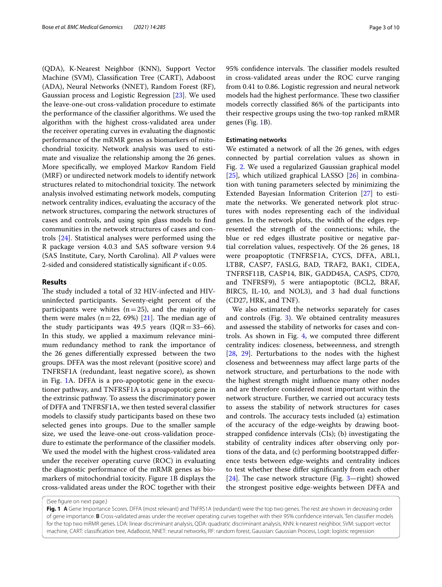(QDA), K-Nearest Neighbor (KNN), Support Vector Machine (SVM), Classifcation Tree (CART), Adaboost (ADA), Neural Networks (NNET), Random Forest (RF), Gaussian process and Logistic Regression [\[23\]](#page-8-16). We used the leave-one-out cross-validation procedure to estimate the performance of the classifer algorithms. We used the algorithm with the highest cross-validated area under the receiver operating curves in evaluating the diagnostic performance of the mRMR genes as biomarkers of mitochondrial toxicity. Network analysis was used to estimate and visualize the relationship among the 26 genes. More specifcally, we employed Markov Random Field (MRF) or undirected network models to identify network structures related to mitochondrial toxicity. The network analysis involved estimating network models, computing network centrality indices, evaluating the accuracy of the network structures, comparing the network structures of cases and controls, and using spin glass models to fnd communities in the network structures of cases and controls [[24\]](#page-8-17). Statistical analyses were performed using the R package version 4.0.3 and SAS software version 9.4 (SAS Institute, Cary, North Carolina). All *P* values were 2-sided and considered statistically signifcant if<0.05.

# **Results**

The study included a total of 32 HIV-infected and HIVuninfected participants. Seventy-eight percent of the participants were whites  $(n=25)$ , and the majority of them were males ( $n=22$ , 69%) [\[21\]](#page-8-14). The median age of the study participants was 49.5 years ( $IQR = 33-66$ ). In this study, we applied a maximum relevance minimum redundancy method to rank the importance of the 26 genes diferentially expressed between the two groups. DFFA was the most relevant (positive score) and TNFRSF1A (redundant, least negative score), as shown in Fig. [1](#page-2-0)A. DFFA is a pro-apoptotic gene in the executioner pathway, and TNFRSF1A is a proapoptotic gene in the extrinsic pathway. To assess the discriminatory power of DFFA and TNFRSF1A, we then tested several classifer models to classify study participants based on these two selected genes into groups. Due to the smaller sample size, we used the leave-one-out cross-validation procedure to estimate the performance of the classifer models. We used the model with the highest cross-validated area under the receiver operating curve (ROC) in evaluating the diagnostic performance of the mRMR genes as biomarkers of mitochondrial toxicity. Figure [1B](#page-2-0) displays the cross-validated areas under the ROC together with their 95% confidence intervals. The classifier models resulted in cross-validated areas under the ROC curve ranging from 0.41 to 0.86. Logistic regression and neural network models had the highest performance. These two classifier models correctly classifed 86% of the participants into their respective groups using the two-top ranked mRMR genes (Fig. [1](#page-2-0)B).

## **Estimating networks**

We estimated a network of all the 26 genes, with edges connected by partial correlation values as shown in Fig. [2.](#page-4-0) We used a regularized Gaussian graphical model  $[25]$  $[25]$ , which utilized graphical LASSO  $[26]$  $[26]$  in combination with tuning parameters selected by minimizing the Extended Bayesian Information Criterion [[27](#page-8-20)] to estimate the networks. We generated network plot structures with nodes representing each of the individual genes. In the network plots, the width of the edges represented the strength of the connections; while, the blue or red edges illustrate positive or negative partial correlation values, respectively. Of the 26 genes, 18 were proapoptotic (TNFRSF1A, CYCS, DFFA, ABL1, LTBR, CASP7, FASLG, BAD, TRAF2, BAK1, CIDEA, TNFRSF11B, CASP14, BIK, GADD45A, CASP5, CD70, and TNFRSF9), 5 were antiapoptotic (BCL2, BRAF, BIRC5, IL-10, and NOL3), and 3 had dual functions (CD27, HRK, and TNF).

We also estimated the networks separately for cases and controls (Fig. [3](#page-5-0)). We obtained centrality measures and assessed the stability of networks for cases and controls. As shown in Fig. [4](#page-5-1), we computed three diferent centrality indices: closeness, betweenness, and strength [[28,](#page-8-21) [29\]](#page-8-22). Perturbations to the nodes with the highest closeness and betweenness may afect large parts of the network structure, and perturbations to the node with the highest strength might infuence many other nodes and are therefore considered most important within the network structure. Further, we carried out accuracy tests to assess the stability of network structures for cases and controls. The accuracy tests included (a) estimation of the accuracy of the edge-weights by drawing bootstrapped confdence intervals (CIs); (b) investigating the stability of centrality indices after observing only portions of the data, and (c) performing bootstrapped diference tests between edge-weights and centrality indices to test whether these difer signifcantly from each other [[24\]](#page-8-17). The case network structure (Fig.  $3$ —right) showed the strongest positive edge-weights between DFFA and

(See fgure on next page.)

<span id="page-2-0"></span>**Fig. 1 A** Gene Importance Scores. DFFA (most relevant) and TNFRS1A (redundant) were the top two genes. The rest are shown in decreasing order of gene importance. **B** Cross-validated areas under the receiver operating curves together with their 95% confdence intervals. Ten classifer models for the top two mRMR genes. LDA: linear discriminant analysis, QDA: quadratic discriminant analysis, KNN: k-nearest neighbor, SVM: support vector machine, CART: classifcation tree, AdaBoost, NNET: neural networks, RF: random forest, Gaussian: Gaussian Process, Logit: logistic regression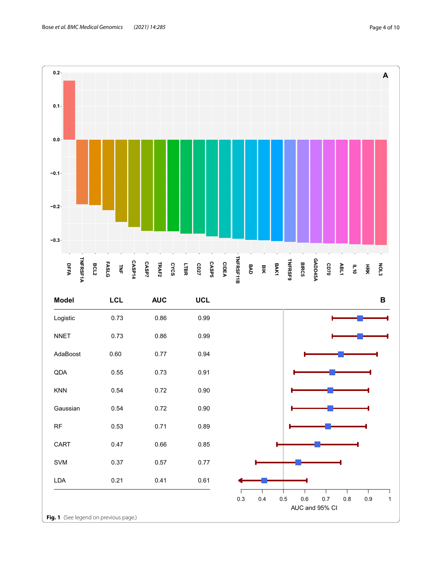

**Fig. 1** (See legend on previous page.)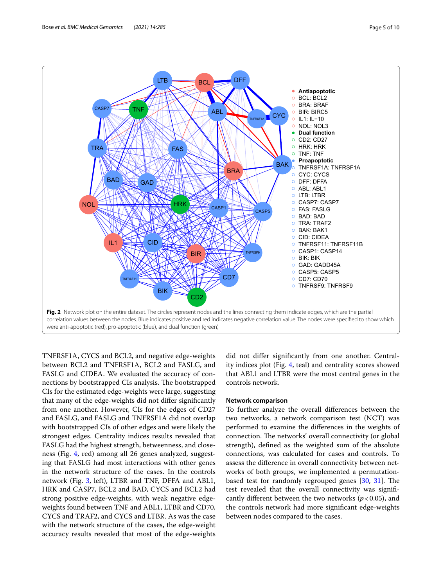

<span id="page-4-0"></span>TNFRSF1A, CYCS and BCL2, and negative edge-weights between BCL2 and TNFRSF1A, BCL2 and FASLG, and FASLG and CIDEA. We evaluated the accuracy of connections by bootstrapped CIs analysis. The bootstrapped CIs for the estimated edge-weights were large, suggesting that many of the edge-weights did not difer signifcantly from one another. However, CIs for the edges of CD27 and FASLG, and FASLG and TNFRSF1A did not overlap with bootstrapped CIs of other edges and were likely the strongest edges. Centrality indices results revealed that FASLG had the highest strength, betweenness, and closeness (Fig. [4](#page-5-1), red) among all 26 genes analyzed, suggesting that FASLG had most interactions with other genes in the network structure of the cases. In the controls network (Fig. [3,](#page-5-0) left), LTBR and TNF, DFFA and ABL1, HRK and CASP7, BCL2 and BAD, CYCS and BCL2 had strong positive edge-weights, with weak negative edgeweights found between TNF and ABL1, LTBR and CD70, CYCS and TRAF2, and CYCS and LTBR. As was the case with the network structure of the cases, the edge-weight accuracy results revealed that most of the edge-weights did not difer signifcantly from one another. Centrality indices plot (Fig. [4](#page-5-1), teal) and centrality scores showed that ABL1 and LTBR were the most central genes in the controls network.

# **Network comparison**

To further analyze the overall diferences between the two networks, a network comparison test (NCT) was performed to examine the diferences in the weights of connection. The networks' overall connectivity (or global strength), defned as the weighted sum of the absolute connections, was calculated for cases and controls. To assess the diference in overall connectivity between networks of both groups, we implemented a permutationbased test for randomly regrouped genes  $[30, 31]$  $[30, 31]$  $[30, 31]$  $[30, 31]$ . The test revealed that the overall connectivity was signifcantly different between the two networks ( $p < 0.05$ ), and the controls network had more signifcant edge-weights between nodes compared to the cases.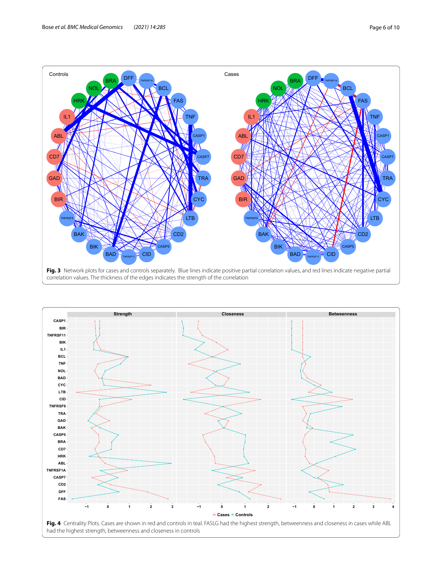

<span id="page-5-1"></span><span id="page-5-0"></span>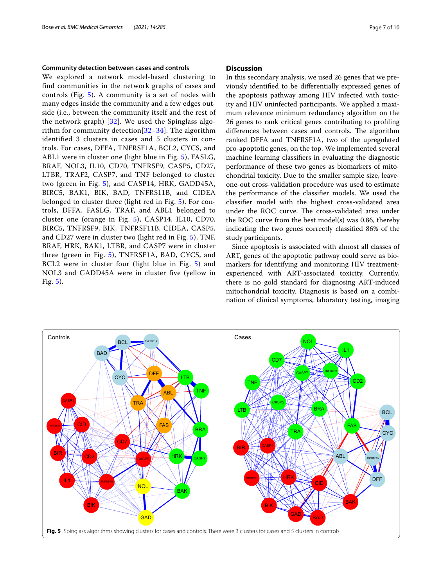### **Community detection between cases and controls**

We explored a network model-based clustering to find communities in the network graphs of cases and controls (Fig. [5](#page-6-0)). A community is a set of nodes with many edges inside the community and a few edges outside (i.e., between the community itself and the rest of the network graph) [[32](#page-8-25)]. We used the Spinglass algorithm for community detection  $[32-34]$  $[32-34]$  $[32-34]$ . The algorithm identified 3 clusters in cases and 5 clusters in controls. For cases, DFFA, TNFRSF1A, BCL2, CYCS, and ABL1 were in cluster one (light blue in Fig. [5](#page-6-0)), FASLG, BRAF, NOL3, IL10, CD70, TNFRSF9, CASP5, CD27, LTBR, TRAF2, CASP7, and TNF belonged to cluster two (green in Fig. [5\)](#page-6-0), and CASP14, HRK, GADD45A, BIRC5, BAK1, BIK, BAD, TNFRS11B, and CIDEA belonged to cluster three (light red in Fig. [5](#page-6-0)). For controls, DFFA, FASLG, TRAF, and ABL1 belonged to cluster one (orange in Fig. [5\)](#page-6-0), CASP14, IL10, CD70, BIRC5, TNFRSF9, BIK, TNFRSF11B, CIDEA, CASP5, and CD27 were in cluster two (light red in Fig. [5](#page-6-0)), TNF, BRAF, HRK, BAK1, LTBR, and CASP7 were in cluster three (green in Fig. [5\)](#page-6-0), TNFRSF1A, BAD, CYCS, and BCL2 were in cluster four (light blue in Fig. [5](#page-6-0)) and NOL3 and GADD45A were in cluster five (yellow in Fig. [5\)](#page-6-0).

## **Discussion**

In this secondary analysis, we used 26 genes that we previously identifed to be diferentially expressed genes of the apoptosis pathway among HIV infected with toxicity and HIV uninfected participants. We applied a maximum relevance minimum redundancy algorithm on the 26 genes to rank critical genes contributing to profling differences between cases and controls. The algorithm ranked DFFA and TNFRSF1A, two of the upregulated pro-apoptotic genes, on the top. We implemented several machine learning classifers in evaluating the diagnostic performance of these two genes as biomarkers of mitochondrial toxicity. Due to the smaller sample size, leaveone-out cross-validation procedure was used to estimate the performance of the classifer models. We used the classifer model with the highest cross-validated area under the ROC curve. The cross-validated area under the ROC curve from the best model(s) was 0.86, thereby indicating the two genes correctly classifed 86% of the study participants.

Since apoptosis is associated with almost all classes of ART, genes of the apoptotic pathway could serve as biomarkers for identifying and monitoring HIV treatmentexperienced with ART-associated toxicity. Currently, there is no gold standard for diagnosing ART-induced mitochondrial toxicity. Diagnosis is based on a combination of clinical symptoms, laboratory testing, imaging

<span id="page-6-0"></span>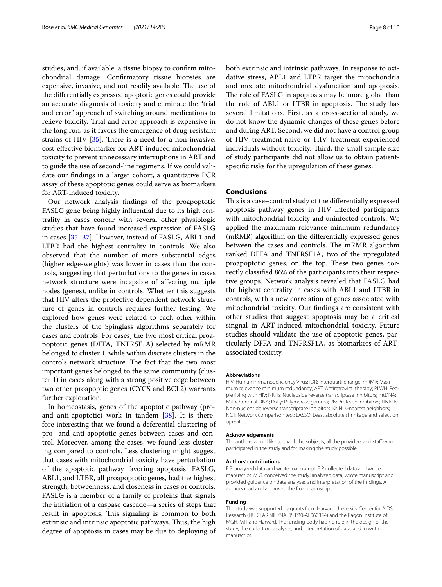studies, and, if available, a tissue biopsy to confrm mitochondrial damage. Confrmatory tissue biopsies are expensive, invasive, and not readily available. The use of the diferentially expressed apoptotic genes could provide an accurate diagnosis of toxicity and eliminate the "trial and error" approach of switching around medications to relieve toxicity. Trial and error approach is expensive in the long run, as it favors the emergence of drug-resistant strains of HIV  $[35]$ . There is a need for a non-invasive, cost-efective biomarker for ART-induced mitochondrial toxicity to prevent unnecessary interruptions in ART and to guide the use of second-line regimens. If we could validate our fndings in a larger cohort, a quantitative PCR assay of these apoptotic genes could serve as biomarkers for ART-induced toxicity.

Our network analysis fndings of the proapoptotic FASLG gene being highly infuential due to its high centrality in cases concur with several other physiologic studies that have found increased expression of FASLG in cases [\[35](#page-8-27)–[37\]](#page-8-28). However, instead of FASLG, ABL1 and LTBR had the highest centrality in controls. We also observed that the number of more substantial edges (higher edge-weights) was lower in cases than the controls, suggesting that perturbations to the genes in cases network structure were incapable of afecting multiple nodes (genes), unlike in controls. Whether this suggests that HIV alters the protective dependent network structure of genes in controls requires further testing. We explored how genes were related to each other within the clusters of the Spinglass algorithms separately for cases and controls. For cases, the two most critical proapoptotic genes (DFFA, TNFRSF1A) selected by mRMR belonged to cluster 1, while within discrete clusters in the controls network structure. The fact that the two most important genes belonged to the same community (cluster 1) in cases along with a strong positive edge between two other proapoptic genes (CYCS and BCL2) warrants further exploration.

In homeostasis, genes of the apoptotic pathway (proand anti-apoptotic) work in tandem  $[38]$ . It is therefore interesting that we found a deferential clustering of pro- and anti-apoptotic genes between cases and control. Moreover, among the cases, we found less clustering compared to controls. Less clustering might suggest that cases with mitochondrial toxicity have perturbation of the apoptotic pathway favoring apoptosis. FASLG, ABL1, and LTBR, all proapoptotic genes, had the highest strength, betweenness, and closeness in cases or controls. FASLG is a member of a family of proteins that signals the initiation of a caspase cascade—a series of steps that result in apoptosis. This signaling is common to both extrinsic and intrinsic apoptotic pathways. Thus, the high degree of apoptosis in cases may be due to deploying of both extrinsic and intrinsic pathways. In response to oxidative stress, ABL1 and LTBR target the mitochondria and mediate mitochondrial dysfunction and apoptosis. The role of FASLG in apoptosis may be more global than the role of ABL1 or LTBR in apoptosis. The study has several limitations. First, as a cross-sectional study, we do not know the dynamic changes of these genes before and during ART. Second, we did not have a control group of HIV treatment-naive or HIV treatment-experienced individuals without toxicity. Third, the small sample size of study participants did not allow us to obtain patientspecifc risks for the upregulation of these genes.

## **Conclusions**

This is a case–control study of the differentially expressed apoptosis pathway genes in HIV infected participants with mitochondrial toxicity and uninfected controls. We applied the maximum relevance minimum redundancy (mRMR) algorithm on the diferentially expressed genes between the cases and controls. The mRMR algorithm ranked DFFA and TNFRSF1A, two of the upregulated proapoptotic genes, on the top. These two genes correctly classifed 86% of the participants into their respective groups. Network analysis revealed that FASLG had the highest centrality in cases with ABL1 and LTBR in controls, with a new correlation of genes associated with mitochondrial toxicity. Our fndings are consistent with other studies that suggest apoptosis may be a critical singnal in ART-induced mitochondrial toxicity. Future studies should validate the use of apoptotic genes, particularly DFFA and TNFRSF1A, as biomarkers of ARTassociated toxicity.

#### **Abbreviations**

HIV: Human Immunodefciency Virus; IQR: Interquartile range; mRMR: Maximum relevance minimum redundancy; ART: Antiretroviral therapy; PLWH: People living with HIV; NRTIs: Nucleoside reverse transcriptase inhibitors; mtDNA: Mitochondrial DNA; Pol-γ: Polymerase gamma; PIs: Protease inhibitors; NNRTIs: Non-nucleoside reverse transcriptase inhibitors; KNN: K-nearest neighbors; NCT: Network comparison test; LASSO: Least absolute shrinkage and selection operator.

#### **Acknowledgements**

The authors would like to thank the subjects, all the providers and staff who participated in the study and for making the study possible.

#### **Authors' contributions**

E.B. analyzed data and wrote manuscript. E.P. collected data and wrote manuscript. M.G. conceived the study; analyzed data; wrote manuscript and provided guidance on data analyses and interpretation of the fndings. All authors read and approved the fnal manuscript.

#### **Funding**

The study was supported by grants from Harvard University Center for AIDS Research (HU CFAR NIH/NAIDS P30-AI 060354) and the Ragon Institute of MGH, MIT and Harvard. The funding body had no role in the design of the study, the collection, analyses, and interpretation of data, and in writing manuscript.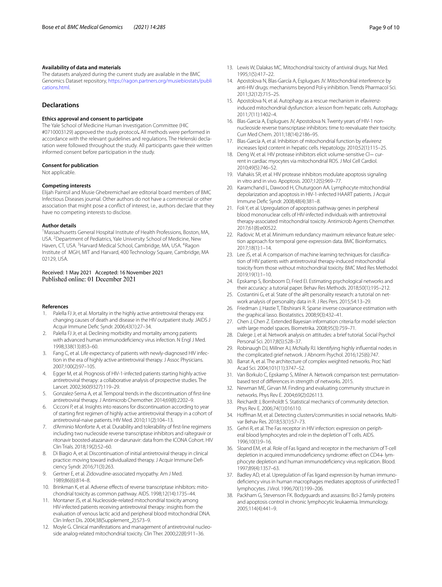#### **Availability of data and materials**

The datasets analyzed during the current study are available in the BMC Genomics Dataset repository, [https://ragon.partners.org/musiebiostats/publi](https://ragon.partners.org/musiebiostats/publications.html) [cations.html](https://ragon.partners.org/musiebiostats/publications.html).

### **Declarations**

#### **Ethics approval and consent to participate**

The Yale School of Medicine Human Investigation Committee (HIC #0710003129) approved the study protocol**.** All methods were performed in accordance with the relevant guidelines and regulations. The Helenski declaration were followed throughout the study. All participants gave their written informed consent before participation in the study.

#### **Consent for publication**

Not applicable.

#### **Competing interests**

Elijah Paintsil and Musie Ghebremichael are editorial board members of BMC Infectious Diseases journal. Other authors do not have a commercial or other association that might pose a confict of interest, i.e., authors declare that they have no competing interests to disclose.

### **Author details**

<sup>1</sup> Massachusetts General Hospital Institute of Health Professions, Boston, MA, USA. <sup>2</sup> Department of Pediatrics, Yale University School of Medicine, New Haven, CT, USA.<sup>3</sup> Harvard Medical School, Cambridge, MA, USA.<sup>4</sup> Ragon Institute of MGH, MIT and Harvard, 400 Technology Square, Cambridge, MA 02129, USA.

## Received: 1 May 2021 Accepted: 16 November 2021 Published online: 01 December 2021

#### **References**

- <span id="page-8-0"></span>1. Palella FJ Jr, et al. Mortality in the highly active antiretroviral therapy era: changing causes of death and disease in the HIV outpatient study. JAIDS J Acquir Immune Defc Syndr. 2006;43(1):27–34.
- 2. Palella FJ Jr, et al. Declining morbidity and mortality among patients with advanced human immunodeficiency virus infection. N Engl J Med. 1998;338(13):853–60.
- 3. Fang C, et al. Life expectancy of patients with newly-diagnosed HIV infection in the era of highly active antiretroviral therapy. J Assoc Physicians. 2007;100(2):97–105.
- <span id="page-8-1"></span>4. Egger M, et al. Prognosis of HIV-1-infected patients starting highly active antiretroviral therapy: a collaborative analysis of prospective studies. The Lancet. 2002;360(9327):119–29.
- <span id="page-8-2"></span>5. Gonzalez-Serna A, et al. Temporal trends in the discontinuation of frst-line antiretroviral therapy. J Antimicrob Chemother. 2014;69(8):2202–9.
- 6. Cicconi P, et al. Insights into reasons for discontinuation according to year of starting frst regimen of highly active antiretroviral therapy in a cohort of antiretroviral-naive patients. HIV Med. 2010;11(2):104–13.
- <span id="page-8-3"></span>7. d'Arminio Monforte A, et al. Durability and tolerability of frst-line regimens including two nucleoside reverse transcriptase inhibitors and raltegravir or ritonavir boosted-atazanavir or-darunavir: data from the ICONA Cohort. HIV Clin Trials. 2018;19(2):52–60.
- <span id="page-8-4"></span>8. Di Biagio A, et al. Discontinuation of initial antiretroviral therapy in clinical practice: moving toward individualized therapy. J Acquir Immune Defciency Syndr. 2016;71(3):263.
- <span id="page-8-5"></span>9. Gertner E, et al. Zidovudine-associated myopathy. Am J Med. 1989;86(6):814–8.
- 10. Brinkman K, et al. Adverse effects of reverse transcriptase inhibitors: mitochondrial toxicity as common pathway. AIDS. 1998;12(14):1735–44.
- 11. Montaner JS, et al. Nucleoside-related mitochondrial toxicity among HIV-infected patients receiving antiretroviral therapy: insights from the evaluation of venous lactic acid and peripheral blood mitochondrial DNA. Clin Infect Dis. 2004;38(Supplement\_2):S73–9.
- <span id="page-8-6"></span>12. Moyle G. Clinical manifestations and management of antiretroviral nucleoside analog-related mitochondrial toxicity. Clin Ther. 2000;22(8):911–36.
- <span id="page-8-7"></span>13. Lewis W, Dalakas MC. Mitochondrial toxicity of antiviral drugs. Nat Med. 1995;1(5):417–22.
- <span id="page-8-8"></span>14. Apostolova N, Blas-García A, Esplugues JV. Mitochondrial interference by anti-HIV drugs: mechanisms beyond Pol-γ inhibition. Trends Pharmacol Sci. 2011;32(12):715–25.
- 15. Apostolova N, et al. Autophagy as a rescue mechanism in efavirenzinduced mitochondrial dysfunction: a lesson from hepatic cells. Autophagy. 2011;7(11):1402–4.
- <span id="page-8-9"></span>16. Blas-Garcia A, Esplugues JV, Apostolova N. Twenty years of HIV-1 nonnucleoside reverse transcriptase inhibitors: time to reevaluate their toxicity. Curr Med Chem. 2011;18(14):2186–95.
- <span id="page-8-10"></span>17. Blas-García A, et al. Inhibition of mitochondrial function by efavirenz increases lipid content in hepatic cells. Hepatology. 2010;52(1):115–25.
- <span id="page-8-11"></span>18. Deng W, et al. HIV protease inhibitors elicit volume-sensitive Cl− current in cardiac myocytes via mitochondrial ROS. J Mol Cell Cardiol. 2010;49(5):746–52.
- <span id="page-8-12"></span>19. Vlahakis SR, et al. HIV protease inhibitors modulate apoptosis signaling in vitro and in vivo. Apoptosis. 2007;12(5):969–77.
- <span id="page-8-13"></span>20. Karamchand L, Dawood H, Chuturgoon AA. Lymphocyte mitochondrial depolarization and apoptosis in HIV-1-infected HAART patients. J Acquir Immune Defc Syndr. 2008;48(4):381–8.
- <span id="page-8-14"></span>21. Foli Y, et al. Upregulation of apoptosis pathway genes in peripheral blood mononuclear cells of HIV-infected individuals with antiretroviral therapy-associated mitochondrial toxicity. Antimicrob Agents Chemother. 2017;61(8):e00522.
- <span id="page-8-15"></span>22. Radovic M, et al. Minimum redundancy maximum relevance feature selection approach for temporal gene expression data. BMC Bioinformatics. 2017;18(1):1–14.
- <span id="page-8-16"></span>23. Lee JS, et al. A comparison of machine learning techniques for classifcation of HIV patients with antiretroviral therapy-induced mitochondrial toxicity from those without mitochondrial toxicity. BMC Med Res Methodol. 2019;19(1):1–10.
- <span id="page-8-17"></span>24. Epskamp S, Borsboom D, Fried EI. Estimating psychological networks and their accuracy: a tutorial paper. Behav Res Methods. 2018;50(1):195–212.
- <span id="page-8-18"></span>25. Costantini G, et al. State of the aRt personality research: a tutorial on network analysis of personality data in R. J Res Pers. 2015;54:13–29.
- <span id="page-8-19"></span>26. Friedman J, Hastie T, Tibshirani R. Sparse inverse covariance estimation with the graphical lasso. Biostatistics. 2008;9(3):432–41.
- <span id="page-8-20"></span>27. Chen J, Chen Z. Extended Bayesian information criteria for model selection with large model spaces. Biometrika. 2008;95(3):759–71.
- <span id="page-8-21"></span>28. Dalege J, et al. Network analysis on attitudes: a brief tutorial. Social Psychol Personal Sci. 2017;8(5):528–37.
- <span id="page-8-22"></span>29. Robinaugh DJ, Millner AJ, McNally RJ. Identifying highly infuential nodes in the complicated grief network. J Abnorm Psychol. 2016;125(6):747.
- <span id="page-8-23"></span>30. Barrat A, et al. The architecture of complex weighted networks. Proc Natl Acad Sci. 2004;101(11):3747–52.
- <span id="page-8-24"></span>31. Van Borkulo C, Epskamp S, Milner A. Network comparison test: permutationbased test of diferences in strength of networks. 2015.
- <span id="page-8-25"></span>32. Newman ME, Girvan M. Finding and evaluating community structure in networks. Phys Rev E. 2004;69(2):026113.
- 33. Reichardt J, Bornholdt S. Statistical mechanics of community detection. Phys Rev E. 2006;74(1):016110.
- <span id="page-8-26"></span>34. Hofman M, et al. Detecting clusters/communities in social networks. Multivar Behav Res. 2018;53(1):57–73.
- <span id="page-8-27"></span>35. Gehri R, et al. The Fas receptor in HIV infection: expression on peripheral blood lymphocytes and role in the depletion of T cells. AIDS. 1996;10(1):9–16.
- 36. Sloand EM, et al. Role of Fas ligand and receptor in the mechanism of T-cell depletion in acquired immunodeficiency syndrome: effect on CD4+ lymphocyte depletion and human immunodefciency virus replication. Blood. 1997;89(4):1357–63.
- <span id="page-8-28"></span>37. Badley AD, et al. Upregulation of Fas ligand expression by human immunodefciency virus in human macrophages mediates apoptosis of uninfected T lymphocytes. J Virol. 1996;70(1):199–206.
- <span id="page-8-29"></span>38. Packham G, Stevenson FK. Bodyguards and assassins: Bcl-2 family proteins and apoptosis control in chronic lymphocytic leukaemia. Immunology. 2005;114(4):441–9.